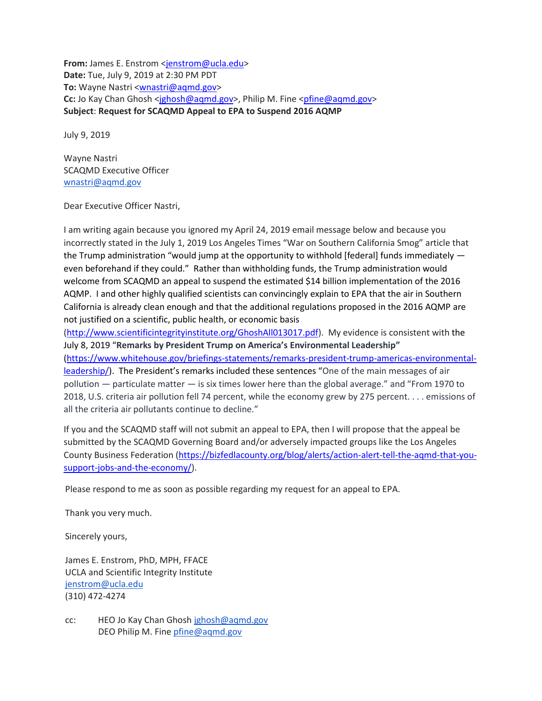**From:** James E. Enstrom [<jenstrom@ucla.edu>](mailto:jenstrom@ucla.edu) **Date:** Tue, July 9, 2019 at 2:30 PM PDT **To:** Wayne Nastri [<wnastri@aqmd.gov>](mailto:wnastri@aqmd.gov) **Cc:** Jo Kay Chan Ghosh [<jghosh@aqmd.gov>](mailto:jghosh@aqmd.gov), Philip M. Fine [<pfine@aqmd.gov>](mailto:pfine@aqmd.gov) **Subject**: **Request for SCAQMD Appeal to EPA to Suspend 2016 AQMP**

July 9, 2019

Wayne Nastri SCAQMD Executive Officer [wnastri@aqmd.gov](mailto:wnastri@aqmd.gov)

Dear Executive Officer Nastri,

I am writing again because you ignored my April 24, 2019 email message below and because you incorrectly stated in the July 1, 2019 Los Angeles Times "War on Southern California Smog" article that the Trump administration "would jump at the opportunity to withhold [federal] funds immediately even beforehand if they could." Rather than withholding funds, the Trump administration would welcome from SCAQMD an appeal to suspend the estimated \$14 billion implementation of the 2016 AQMP. I and other highly qualified scientists can convincingly explain to EPA that the air in Southern California is already clean enough and that the additional regulations proposed in the 2016 AQMP are not justified on a scientific, public health, or economic basis

[\(http://www.scientificintegrityinstitute.org/GhoshAll013017.pdf\)](http://www.scientificintegrityinstitute.org/GhoshAll013017.pdf). My evidence is consistent with the July 8, 2019 "**Remarks by President Trump on America's Environmental Leadership"** [\(https://www.whitehouse.gov/briefings-statements/remarks-president-trump-americas-environmental](https://www.whitehouse.gov/briefings-statements/remarks-president-trump-americas-environmental-leadership/)[leadership/\)](https://www.whitehouse.gov/briefings-statements/remarks-president-trump-americas-environmental-leadership/). The President's remarks included these sentences "One of the main messages of air pollution — particulate matter — is six times lower here than the global average." and "From 1970 to 2018, U.S. criteria air pollution fell 74 percent, while the economy grew by 275 percent. . . . emissions of all the criteria air pollutants continue to decline."

If you and the SCAQMD staff will not submit an appeal to EPA, then I will propose that the appeal be submitted by the SCAQMD Governing Board and/or adversely impacted groups like the Los Angeles County Business Federation [\(https://bizfedlacounty.org/blog/alerts/action-alert-tell-the-aqmd-that-you](https://bizfedlacounty.org/blog/alerts/action-alert-tell-the-aqmd-that-you-support-jobs-and-the-economy/)[support-jobs-and-the-economy/\)](https://bizfedlacounty.org/blog/alerts/action-alert-tell-the-aqmd-that-you-support-jobs-and-the-economy/).

Please respond to me as soon as possible regarding my request for an appeal to EPA.

Thank you very much.

Sincerely yours,

James E. Enstrom, PhD, MPH, FFACE UCLA and Scientific Integrity Institute [jenstrom@ucla.edu](mailto:jenstrom@ucla.edu) (310) 472-4274

cc: HEO Jo Kay Chan Ghosh [jghosh@aqmd.gov](mailto:jghosh@aqmd.gov) DEO Philip M. Fine [pfine@aqmd.gov](mailto:pfine@aqmd.gov)